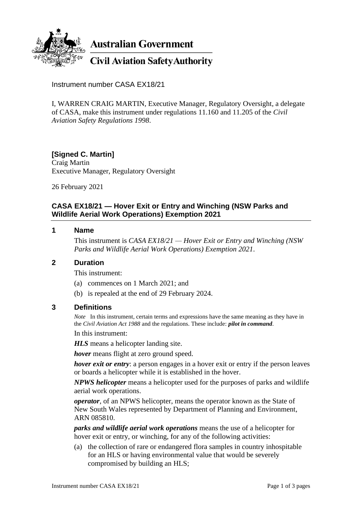

**Australian Government** 

**Civil Aviation Safety Authority** 

Instrument number CASA EX18/21

I, WARREN CRAIG MARTIN, Executive Manager, Regulatory Oversight, a delegate of CASA, make this instrument under regulations 11.160 and 11.205 of the *Civil Aviation Safety Regulations 1998*.

# **[Signed C. Martin]**

Craig Martin Executive Manager, Regulatory Oversight

26 February 2021

### **CASA EX18/21 — Hover Exit or Entry and Winching (NSW Parks and Wildlife Aerial Work Operations) Exemption 2021**

#### **1 Name**

This instrument is *CASA EX18/21 — Hover Exit or Entry and Winching (NSW Parks and Wildlife Aerial Work Operations) Exemption 2021*.

#### **2 Duration**

This instrument:

- (a) commences on 1 March 2021; and
- (b) is repealed at the end of 29 February 2024.

#### **3 Definitions**

*Note* In this instrument, certain terms and expressions have the same meaning as they have in the *Civil Aviation Act 1988* and the regulations. These include: *pilot in command*.

In this instrument:

*HLS* means a helicopter landing site.

*hover* means flight at zero ground speed.

*hover exit or entry*: a person engages in a hover exit or entry if the person leaves or boards a helicopter while it is established in the hover.

*NPWS helicopter* means a helicopter used for the purposes of parks and wildlife aerial work operations.

*operator*, of an NPWS helicopter, means the operator known as the State of New South Wales represented by Department of Planning and Environment, ARN 085810.

*parks and wildlife aerial work operations* means the use of a helicopter for hover exit or entry, or winching, for any of the following activities:

(a) the collection of rare or endangered flora samples in country inhospitable for an HLS or having environmental value that would be severely compromised by building an HLS;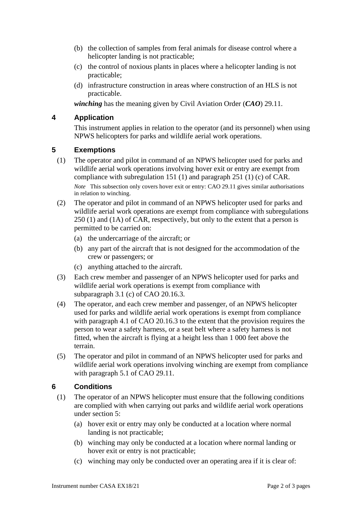- (b) the collection of samples from feral animals for disease control where a helicopter landing is not practicable;
- (c) the control of noxious plants in places where a helicopter landing is not practicable;
- (d) infrastructure construction in areas where construction of an HLS is not practicable.

*winching* has the meaning given by Civil Aviation Order (*CAO*) 29.11.

#### **4 Application**

This instrument applies in relation to the operator (and its personnel) when using NPWS helicopters for parks and wildlife aerial work operations.

#### **5 Exemptions**

- (1) The operator and pilot in command of an NPWS helicopter used for parks and wildlife aerial work operations involving hover exit or entry are exempt from compliance with subregulation 151 (1) and paragraph 251 (1) (c) of CAR. *Note* This subsection only covers hover exit or entry: CAO 29.11 gives similar authorisations in relation to winching.
- (2) The operator and pilot in command of an NPWS helicopter used for parks and wildlife aerial work operations are exempt from compliance with subregulations 250 (1) and (1A) of CAR, respectively, but only to the extent that a person is permitted to be carried on:
	- (a) the undercarriage of the aircraft; or
	- (b) any part of the aircraft that is not designed for the accommodation of the crew or passengers; or
	- (c) anything attached to the aircraft.
- (3) Each crew member and passenger of an NPWS helicopter used for parks and wildlife aerial work operations is exempt from compliance with subparagraph 3.1 (c) of CAO 20.16.3.
- (4) The operator, and each crew member and passenger, of an NPWS helicopter used for parks and wildlife aerial work operations is exempt from compliance with paragraph 4.1 of CAO 20.16.3 to the extent that the provision requires the person to wear a safety harness, or a seat belt where a safety harness is not fitted, when the aircraft is flying at a height less than 1 000 feet above the terrain.
- (5) The operator and pilot in command of an NPWS helicopter used for parks and wildlife aerial work operations involving winching are exempt from compliance with paragraph 5.1 of CAO 29.11.

## **6 Conditions**

- (1) The operator of an NPWS helicopter must ensure that the following conditions are complied with when carrying out parks and wildlife aerial work operations under section 5:
	- (a) hover exit or entry may only be conducted at a location where normal landing is not practicable;
	- (b) winching may only be conducted at a location where normal landing or hover exit or entry is not practicable;
	- (c) winching may only be conducted over an operating area if it is clear of: